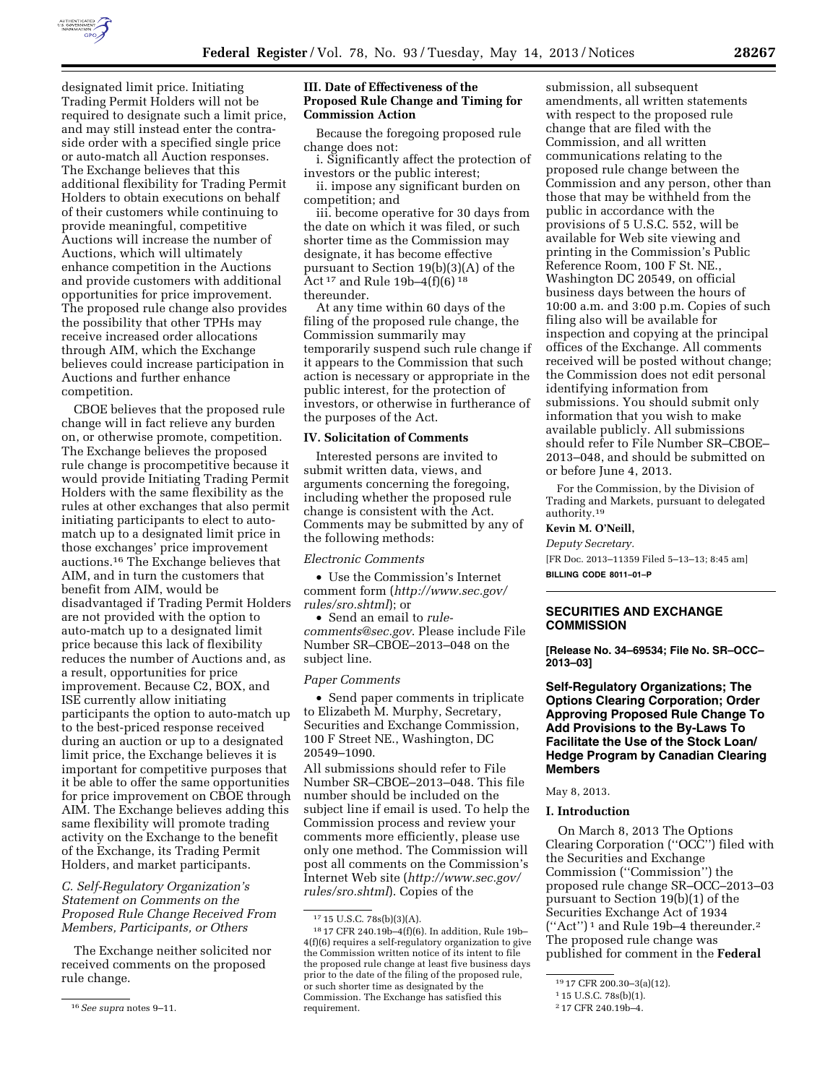

designated limit price. Initiating Trading Permit Holders will not be required to designate such a limit price, and may still instead enter the contraside order with a specified single price or auto-match all Auction responses. The Exchange believes that this additional flexibility for Trading Permit Holders to obtain executions on behalf of their customers while continuing to provide meaningful, competitive Auctions will increase the number of Auctions, which will ultimately enhance competition in the Auctions and provide customers with additional opportunities for price improvement. The proposed rule change also provides the possibility that other TPHs may receive increased order allocations through AIM, which the Exchange believes could increase participation in Auctions and further enhance competition.

CBOE believes that the proposed rule change will in fact relieve any burden on, or otherwise promote, competition. The Exchange believes the proposed rule change is procompetitive because it would provide Initiating Trading Permit Holders with the same flexibility as the rules at other exchanges that also permit initiating participants to elect to automatch up to a designated limit price in those exchanges' price improvement auctions.16 The Exchange believes that AIM, and in turn the customers that benefit from AIM, would be disadvantaged if Trading Permit Holders are not provided with the option to auto-match up to a designated limit price because this lack of flexibility reduces the number of Auctions and, as a result, opportunities for price improvement. Because C2, BOX, and ISE currently allow initiating participants the option to auto-match up to the best-priced response received during an auction or up to a designated limit price, the Exchange believes it is important for competitive purposes that it be able to offer the same opportunities for price improvement on CBOE through AIM. The Exchange believes adding this same flexibility will promote trading activity on the Exchange to the benefit of the Exchange, its Trading Permit Holders, and market participants.

*C. Self-Regulatory Organization's Statement on Comments on the Proposed Rule Change Received From Members, Participants, or Others* 

The Exchange neither solicited nor received comments on the proposed rule change.

## **III. Date of Effectiveness of the Proposed Rule Change and Timing for Commission Action**

Because the foregoing proposed rule change does not:

i. Significantly affect the protection of investors or the public interest;

ii. impose any significant burden on competition; and

iii. become operative for 30 days from the date on which it was filed, or such shorter time as the Commission may designate, it has become effective pursuant to Section 19(b)(3)(A) of the Act 17 and Rule 19b–4(f)(6) 18 thereunder.

At any time within 60 days of the filing of the proposed rule change, the Commission summarily may temporarily suspend such rule change if it appears to the Commission that such action is necessary or appropriate in the public interest, for the protection of investors, or otherwise in furtherance of the purposes of the Act.

#### **IV. Solicitation of Comments**

Interested persons are invited to submit written data, views, and arguments concerning the foregoing, including whether the proposed rule change is consistent with the Act. Comments may be submitted by any of the following methods:

#### *Electronic Comments*

• Use the Commission's Internet comment form (*[http://www.sec.gov/](http://www.sec.gov/rules/sro.shtml)  [rules/sro.shtml](http://www.sec.gov/rules/sro.shtml)*); or

• Send an email to *[rule](mailto:rule-comments@sec.gov)[comments@sec.gov](mailto:rule-comments@sec.gov)*. Please include File Number SR–CBOE–2013–048 on the subject line.

#### *Paper Comments*

• Send paper comments in triplicate to Elizabeth M. Murphy, Secretary, Securities and Exchange Commission, 100 F Street NE., Washington, DC 20549–1090.

All submissions should refer to File Number SR–CBOE–2013–048. This file number should be included on the subject line if email is used. To help the Commission process and review your comments more efficiently, please use only one method. The Commission will post all comments on the Commission's Internet Web site (*[http://www.sec.gov/](http://www.sec.gov/rules/sro.shtml)  [rules/sro.shtml](http://www.sec.gov/rules/sro.shtml)*). Copies of the

submission, all subsequent amendments, all written statements with respect to the proposed rule change that are filed with the Commission, and all written communications relating to the proposed rule change between the Commission and any person, other than those that may be withheld from the public in accordance with the provisions of 5 U.S.C. 552, will be available for Web site viewing and printing in the Commission's Public Reference Room, 100 F St. NE., Washington DC 20549, on official business days between the hours of 10:00 a.m. and 3:00 p.m. Copies of such filing also will be available for inspection and copying at the principal offices of the Exchange. All comments received will be posted without change; the Commission does not edit personal identifying information from submissions. You should submit only information that you wish to make available publicly. All submissions should refer to File Number SR–CBOE– 2013–048, and should be submitted on or before June 4, 2013.

For the Commission, by the Division of Trading and Markets, pursuant to delegated authority.19

#### **Kevin M. O'Neill,**

*Deputy Secretary.*  [FR Doc. 2013–11359 Filed 5–13–13; 8:45 am] **BILLING CODE 8011–01–P** 

# **SECURITIES AND EXCHANGE COMMISSION**

**[Release No. 34–69534; File No. SR–OCC– 2013–03]** 

# **Self-Regulatory Organizations; The Options Clearing Corporation; Order Approving Proposed Rule Change To Add Provisions to the By-Laws To Facilitate the Use of the Stock Loan/ Hedge Program by Canadian Clearing Members**

## May 8, 2013.

#### **I. Introduction**

On March 8, 2013 The Options Clearing Corporation (''OCC'') filed with the Securities and Exchange Commission (''Commission'') the proposed rule change SR–OCC–2013–03 pursuant to Section 19(b)(1) of the Securities Exchange Act of 1934 (''Act'') 1 and Rule 19b–4 thereunder.2 The proposed rule change was published for comment in the **Federal** 

<sup>16</sup>*See supra* notes 9–11.

<sup>17</sup> 15 U.S.C. 78s(b)(3)(A).

<sup>18</sup> 17 CFR 240.19b–4(f)(6). In addition, Rule 19b– 4(f)(6) requires a self-regulatory organization to give the Commission written notice of its intent to file the proposed rule change at least five business days prior to the date of the filing of the proposed rule, or such shorter time as designated by the Commission. The Exchange has satisfied this requirement.

<sup>19</sup> 17 CFR 200.30–3(a)(12).

<sup>1</sup> 15 U.S.C. 78s(b)(1).

<sup>2</sup> 17 CFR 240.19b–4.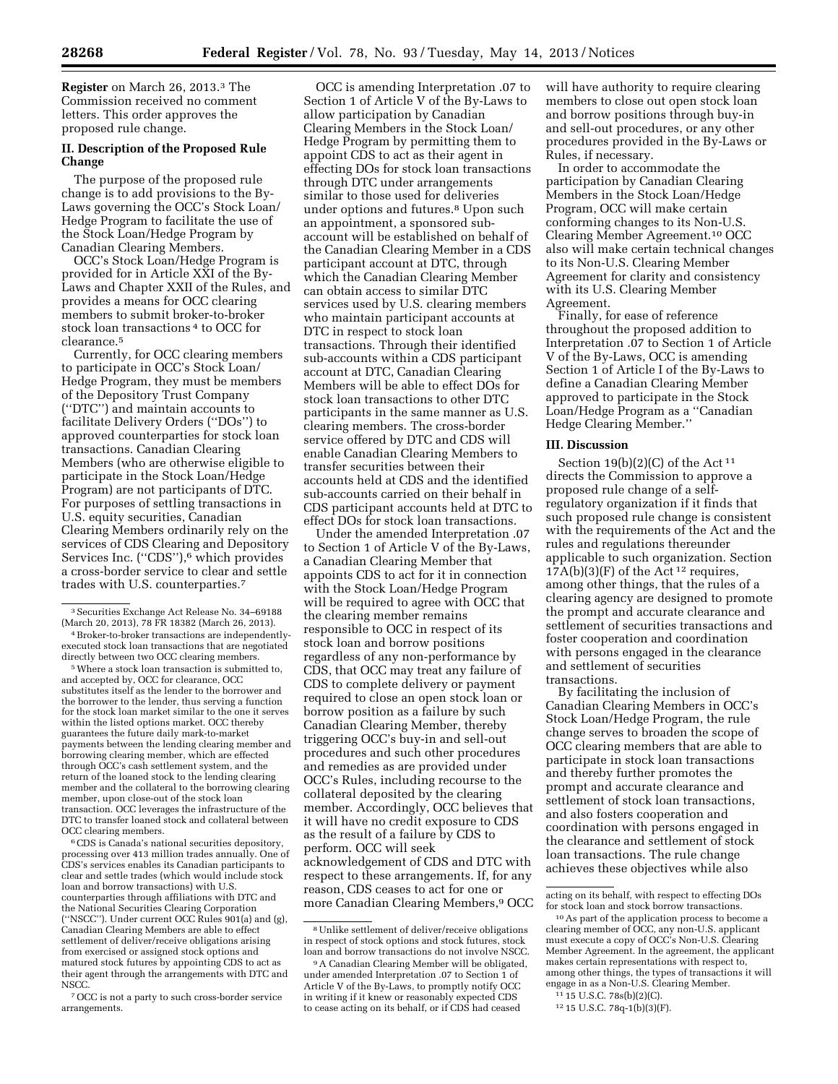**Register** on March 26, 2013.3 The Commission received no comment letters. This order approves the proposed rule change.

# **II. Description of the Proposed Rule Change**

The purpose of the proposed rule change is to add provisions to the By-Laws governing the OCC's Stock Loan/ Hedge Program to facilitate the use of the Stock Loan/Hedge Program by Canadian Clearing Members.

OCC's Stock Loan/Hedge Program is provided for in Article XXI of the By-Laws and Chapter XXII of the Rules, and provides a means for OCC clearing members to submit broker-to-broker stock loan transactions 4 to OCC for clearance.5

Currently, for OCC clearing members to participate in OCC's Stock Loan/ Hedge Program, they must be members of the Depository Trust Company (''DTC'') and maintain accounts to facilitate Delivery Orders (''DOs'') to approved counterparties for stock loan transactions. Canadian Clearing Members (who are otherwise eligible to participate in the Stock Loan/Hedge Program) are not participants of DTC. For purposes of settling transactions in U.S. equity securities, Canadian Clearing Members ordinarily rely on the services of CDS Clearing and Depository Services Inc. ("CDS"),<sup>6</sup> which provides a cross-border service to clear and settle trades with U.S. counterparties.7

4Broker-to-broker transactions are independentlyexecuted stock loan transactions that are negotiated directly between two OCC clearing members.

5Where a stock loan transaction is submitted to, and accepted by, OCC for clearance, OCC substitutes itself as the lender to the borrower and the borrower to the lender, thus serving a function for the stock loan market similar to the one it serves within the listed options market. OCC thereby guarantees the future daily mark-to-market payments between the lending clearing member and borrowing clearing member, which are effected through OCC's cash settlement system, and the return of the loaned stock to the lending clearing member and the collateral to the borrowing clearing member, upon close-out of the stock loan transaction. OCC leverages the infrastructure of the DTC to transfer loaned stock and collateral between OCC clearing members.

6CDS is Canada's national securities depository, processing over 413 million trades annually. One of CDS's services enables its Canadian participants to clear and settle trades (which would include stock loan and borrow transactions) with U.S. counterparties through affiliations with DTC and the National Securities Clearing Corporation (''NSCC''). Under current OCC Rules 901(a) and (g), Canadian Clearing Members are able to effect settlement of deliver/receive obligations arising from exercised or assigned stock options and matured stock futures by appointing CDS to act as their agent through the arrangements with DTC and NSCC.

7OCC is not a party to such cross-border service arrangements.

OCC is amending Interpretation .07 to Section 1 of Article V of the By-Laws to allow participation by Canadian Clearing Members in the Stock Loan/ Hedge Program by permitting them to appoint CDS to act as their agent in effecting DOs for stock loan transactions through DTC under arrangements similar to those used for deliveries under options and futures.8 Upon such an appointment, a sponsored subaccount will be established on behalf of the Canadian Clearing Member in a CDS participant account at DTC, through which the Canadian Clearing Member can obtain access to similar DTC services used by U.S. clearing members who maintain participant accounts at DTC in respect to stock loan transactions. Through their identified sub-accounts within a CDS participant account at DTC, Canadian Clearing Members will be able to effect DOs for stock loan transactions to other DTC participants in the same manner as U.S. clearing members. The cross-border service offered by DTC and CDS will enable Canadian Clearing Members to transfer securities between their accounts held at CDS and the identified sub-accounts carried on their behalf in CDS participant accounts held at DTC to effect DOs for stock loan transactions.

Under the amended Interpretation .07 to Section 1 of Article V of the By-Laws, a Canadian Clearing Member that appoints CDS to act for it in connection with the Stock Loan/Hedge Program will be required to agree with OCC that the clearing member remains responsible to OCC in respect of its stock loan and borrow positions regardless of any non-performance by CDS, that OCC may treat any failure of CDS to complete delivery or payment required to close an open stock loan or borrow position as a failure by such Canadian Clearing Member, thereby triggering OCC's buy-in and sell-out procedures and such other procedures and remedies as are provided under OCC's Rules, including recourse to the collateral deposited by the clearing member. Accordingly, OCC believes that it will have no credit exposure to CDS as the result of a failure by CDS to perform. OCC will seek acknowledgement of CDS and DTC with respect to these arrangements. If, for any reason, CDS ceases to act for one or more Canadian Clearing Members,9 OCC will have authority to require clearing members to close out open stock loan and borrow positions through buy-in and sell-out procedures, or any other procedures provided in the By-Laws or Rules, if necessary.

In order to accommodate the participation by Canadian Clearing Members in the Stock Loan/Hedge Program, OCC will make certain conforming changes to its Non-U.S. Clearing Member Agreement.10 OCC also will make certain technical changes to its Non-U.S. Clearing Member Agreement for clarity and consistency with its U.S. Clearing Member Agreement.

Finally, for ease of reference throughout the proposed addition to Interpretation .07 to Section 1 of Article V of the By-Laws, OCC is amending Section 1 of Article I of the By-Laws to define a Canadian Clearing Member approved to participate in the Stock Loan/Hedge Program as a ''Canadian Hedge Clearing Member.''

## **III. Discussion**

Section  $19(b)(2)(C)$  of the Act<sup>11</sup> directs the Commission to approve a proposed rule change of a selfregulatory organization if it finds that such proposed rule change is consistent with the requirements of the Act and the rules and regulations thereunder applicable to such organization. Section  $17A(b)(3)(F)$  of the Act<sup>12</sup> requires, among other things, that the rules of a clearing agency are designed to promote the prompt and accurate clearance and settlement of securities transactions and foster cooperation and coordination with persons engaged in the clearance and settlement of securities transactions.

By facilitating the inclusion of Canadian Clearing Members in OCC's Stock Loan/Hedge Program, the rule change serves to broaden the scope of OCC clearing members that are able to participate in stock loan transactions and thereby further promotes the prompt and accurate clearance and settlement of stock loan transactions, and also fosters cooperation and coordination with persons engaged in the clearance and settlement of stock loan transactions. The rule change achieves these objectives while also

<sup>3</sup>Securities Exchange Act Release No. 34–69188 (March 20, 2013), 78 FR 18382 (March 26, 2013).

<sup>8</sup>Unlike settlement of deliver/receive obligations in respect of stock options and stock futures, stock loan and borrow transactions do not involve NSCC.

<sup>9</sup>A Canadian Clearing Member will be obligated, under amended Interpretation .07 to Section 1 of Article V of the By-Laws, to promptly notify OCC in writing if it knew or reasonably expected CDS to cease acting on its behalf, or if CDS had ceased

acting on its behalf, with respect to effecting DOs for stock loan and stock borrow transactions.

<sup>10</sup>As part of the application process to become a clearing member of OCC, any non-U.S. applicant must execute a copy of OCC's Non-U.S. Clearing Member Agreement. In the agreement, the applicant makes certain representations with respect to, among other things, the types of transactions it will engage in as a Non-U.S. Clearing Member.

<sup>11</sup> 15 U.S.C. 78s(b)(2)(C).

<sup>12</sup> 15 U.S.C. 78q-1(b)(3)(F).